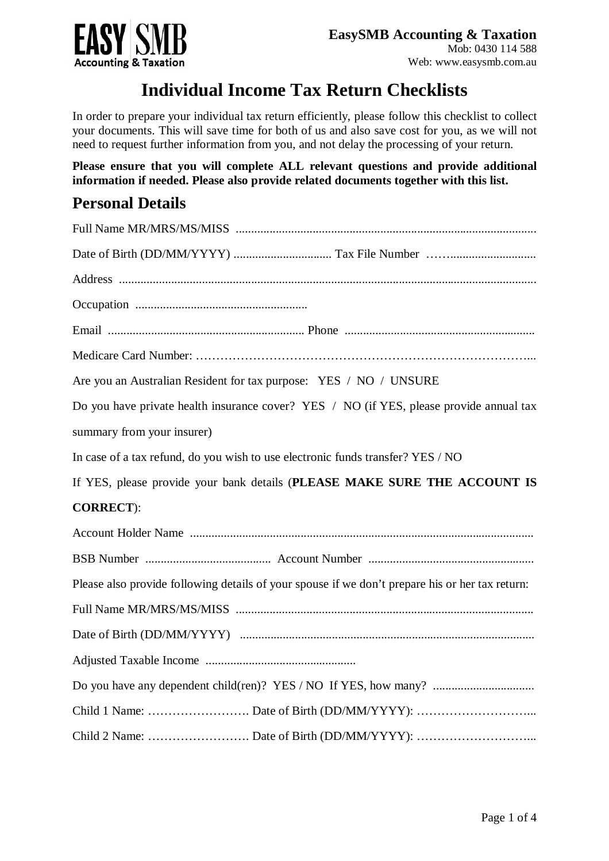

## **Individual Income Tax Return Checklists**

In order to prepare your individual tax return efficiently, please follow this checklist to collect your documents. This will save time for both of us and also save cost for you, as we will not need to request further information from you, and not delay the processing of your return.

**Please ensure that you will complete ALL relevant questions and provide additional information if needed. Please also provide related documents together with this list.**

## **Personal Details**

| Are you an Australian Resident for tax purpose: YES / NO / UNSURE                               |
|-------------------------------------------------------------------------------------------------|
| Do you have private health insurance cover? YES / NO (if YES, please provide annual tax         |
| summary from your insurer)                                                                      |
| In case of a tax refund, do you wish to use electronic funds transfer? YES / NO                 |
| If YES, please provide your bank details (PLEASE MAKE SURE THE ACCOUNT IS                       |
| <b>CORRECT</b> ):                                                                               |
|                                                                                                 |
|                                                                                                 |
| Please also provide following details of your spouse if we don't prepare his or her tax return: |
|                                                                                                 |
|                                                                                                 |
|                                                                                                 |
| Do you have any dependent child(ren)? YES / NO If YES, how many?                                |
|                                                                                                 |
|                                                                                                 |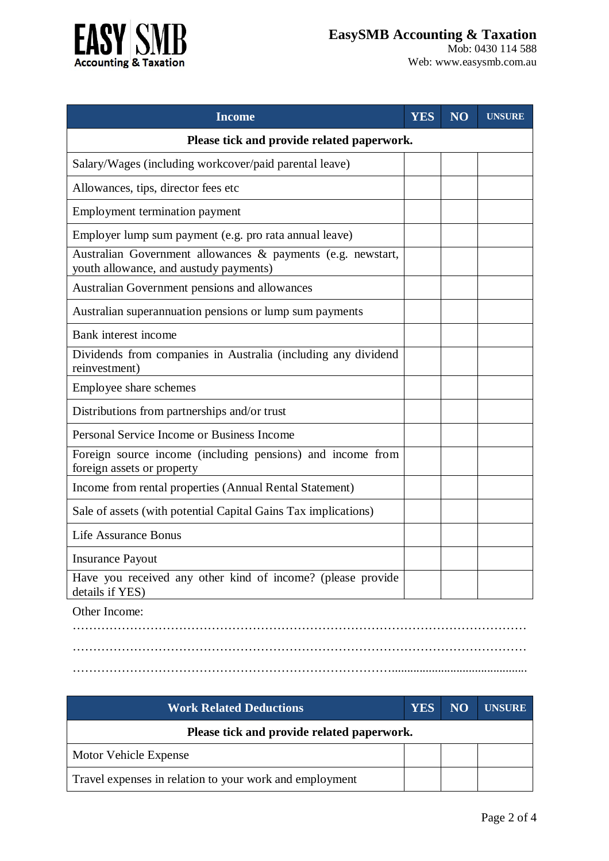



Mob: 0430 114 588 Web: [www.easysmb.com.au](http://www.easysmb.com.au)

| <b>Income</b>                                                                                         | <b>YES</b> | NO <sub>1</sub> | <b>UNSURE</b> |
|-------------------------------------------------------------------------------------------------------|------------|-----------------|---------------|
| Please tick and provide related paperwork.                                                            |            |                 |               |
| Salary/Wages (including workcover/paid parental leave)                                                |            |                 |               |
| Allowances, tips, director fees etc                                                                   |            |                 |               |
| <b>Employment termination payment</b>                                                                 |            |                 |               |
| Employer lump sum payment (e.g. pro rata annual leave)                                                |            |                 |               |
| Australian Government allowances & payments (e.g. newstart,<br>youth allowance, and austudy payments) |            |                 |               |
| Australian Government pensions and allowances                                                         |            |                 |               |
| Australian superannuation pensions or lump sum payments                                               |            |                 |               |
| Bank interest income                                                                                  |            |                 |               |
| Dividends from companies in Australia (including any dividend<br>reinvestment)                        |            |                 |               |
| Employee share schemes                                                                                |            |                 |               |
| Distributions from partnerships and/or trust                                                          |            |                 |               |
| Personal Service Income or Business Income                                                            |            |                 |               |
| Foreign source income (including pensions) and income from<br>foreign assets or property              |            |                 |               |
| Income from rental properties (Annual Rental Statement)                                               |            |                 |               |
| Sale of assets (with potential Capital Gains Tax implications)                                        |            |                 |               |
| <b>Life Assurance Bonus</b>                                                                           |            |                 |               |
| <b>Insurance Payout</b>                                                                               |            |                 |               |
| Have you received any other kind of income? (please provide<br>details if YES)                        |            |                 |               |
| Other Income:                                                                                         |            |                 |               |

………………………………………………………………………………………………… …………………………………………………………………………………………………

……………………………………………………………………............................................

| <b>Work Related Deductions</b>                          | <b>YES</b> | NO | <b>UNSURE</b> |
|---------------------------------------------------------|------------|----|---------------|
| Please tick and provide related paperwork.              |            |    |               |
| Motor Vehicle Expense                                   |            |    |               |
| Travel expenses in relation to your work and employment |            |    |               |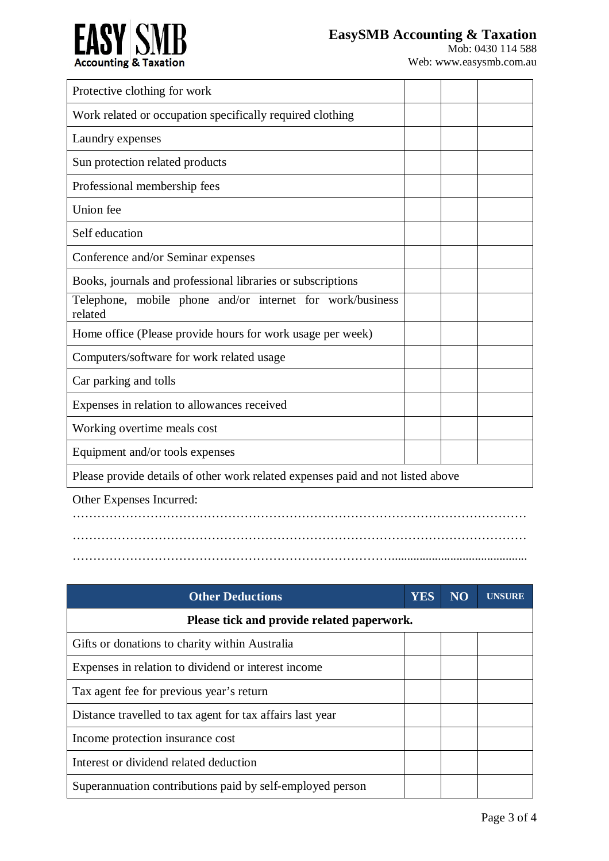

| Protective clothing for work                                                    |  |  |
|---------------------------------------------------------------------------------|--|--|
| Work related or occupation specifically required clothing                       |  |  |
| Laundry expenses                                                                |  |  |
| Sun protection related products                                                 |  |  |
| Professional membership fees                                                    |  |  |
| Union fee                                                                       |  |  |
| Self education                                                                  |  |  |
| Conference and/or Seminar expenses                                              |  |  |
| Books, journals and professional libraries or subscriptions                     |  |  |
| Telephone, mobile phone and/or internet for work/business<br>related            |  |  |
| Home office (Please provide hours for work usage per week)                      |  |  |
| Computers/software for work related usage                                       |  |  |
| Car parking and tolls                                                           |  |  |
| Expenses in relation to allowances received                                     |  |  |
| Working overtime meals cost                                                     |  |  |
| Equipment and/or tools expenses                                                 |  |  |
| Please provide details of other work related expenses paid and not listed above |  |  |
| Other Expenses Incurred:                                                        |  |  |
|                                                                                 |  |  |

## …………………………………………………………………………………………………

……………………………………………………………………............................................

**Other Deductions YES NO UNSURE Please tick and provide related paperwork.** Gifts or donations to charity within Australia Expenses in relation to dividend or interest income Tax agent fee for previous year's return Distance travelled to tax agent for tax affairs last year Income protection insurance cost Interest or dividend related deduction Superannuation contributions paid by self-employed person